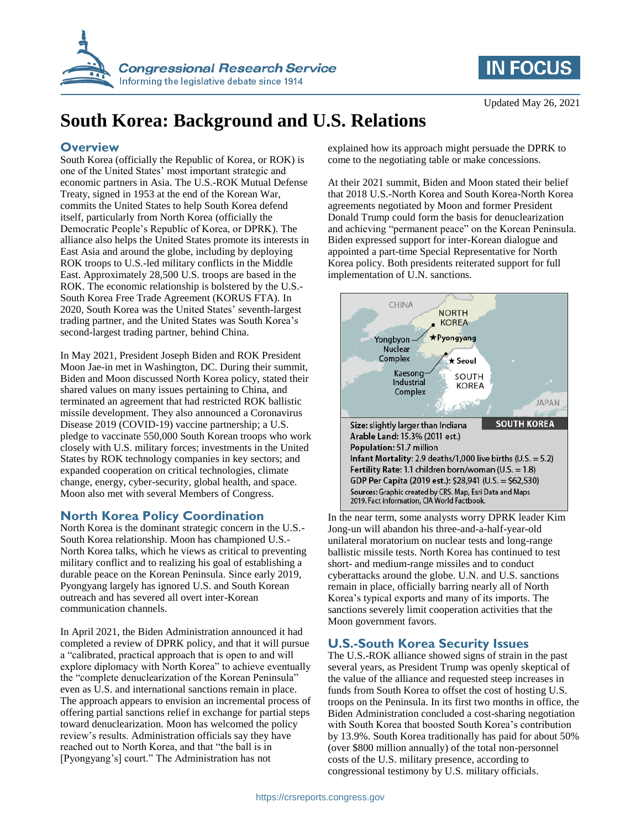



# **South Korea: Background and U.S. Relations**

#### **Overview**

South Korea (officially the Republic of Korea, or ROK) is one of the United States' most important strategic and economic partners in Asia. The U.S.-ROK Mutual Defense Treaty, signed in 1953 at the end of the Korean War, commits the United States to help South Korea defend itself, particularly from North Korea (officially the Democratic People's Republic of Korea, or DPRK). The alliance also helps the United States promote its interests in East Asia and around the globe, including by deploying ROK troops to U.S.-led military conflicts in the Middle East. Approximately 28,500 U.S. troops are based in the ROK. The economic relationship is bolstered by the U.S.- South Korea Free Trade Agreement (KORUS FTA). In 2020, South Korea was the United States' seventh-largest trading partner, and the United States was South Korea's second-largest trading partner, behind China.

In May 2021, President Joseph Biden and ROK President Moon Jae-in met in Washington, DC. During their summit, Biden and Moon discussed North Korea policy, stated their shared values on many issues pertaining to China, and terminated an agreement that had restricted ROK ballistic missile development. They also announced a Coronavirus Disease 2019 (COVID-19) vaccine partnership; a U.S. pledge to vaccinate 550,000 South Korean troops who work closely with U.S. military forces; investments in the United States by ROK technology companies in key sectors; and expanded cooperation on critical technologies, climate change, energy, cyber-security, global health, and space. Moon also met with several Members of Congress.

#### **North Korea Policy Coordination**

North Korea is the dominant strategic concern in the U.S.- South Korea relationship. Moon has championed U.S.- North Korea talks, which he views as critical to preventing military conflict and to realizing his goal of establishing a durable peace on the Korean Peninsula. Since early 2019, Pyongyang largely has ignored U.S. and South Korean outreach and has severed all overt inter-Korean communication channels.

In April 2021, the Biden Administration announced it had completed a review of DPRK policy, and that it will pursue a "calibrated, practical approach that is open to and will explore diplomacy with North Korea" to achieve eventually the "complete denuclearization of the Korean Peninsula" even as U.S. and international sanctions remain in place. The approach appears to envision an incremental process of offering partial sanctions relief in exchange for partial steps toward denuclearization. Moon has welcomed the policy review's results. Administration officials say they have reached out to North Korea, and that "the ball is in [Pyongyang's] court." The Administration has not

explained how its approach might persuade the DPRK to come to the negotiating table or make concessions.

At their 2021 summit, Biden and Moon stated their belief that 2018 U.S.-North Korea and South Korea-North Korea agreements negotiated by Moon and former President Donald Trump could form the basis for denuclearization and achieving "permanent peace" on the Korean Peninsula. Biden expressed support for inter-Korean dialogue and appointed a part-time Special Representative for North Korea policy. Both presidents reiterated support for full implementation of U.N. sanctions.



In the near term, some analysts worry DPRK leader Kim Jong-un will abandon his three-and-a-half-year-old unilateral moratorium on nuclear tests and long-range ballistic missile tests. North Korea has continued to test short- and medium-range missiles and to conduct cyberattacks around the globe. U.N. and U.S. sanctions remain in place, officially barring nearly all of North Korea's typical exports and many of its imports. The sanctions severely limit cooperation activities that the Moon government favors.

## **U.S.-South Korea Security Issues**

The U.S.-ROK alliance showed signs of strain in the past several years, as President Trump was openly skeptical of the value of the alliance and requested steep increases in funds from South Korea to offset the cost of hosting U.S. troops on the Peninsula. In its first two months in office, the Biden Administration concluded a cost-sharing negotiation with South Korea that boosted South Korea's contribution by 13.9%. South Korea traditionally has paid for about 50% (over \$800 million annually) of the total non-personnel costs of the U.S. military presence, according to congressional testimony by U.S. military officials.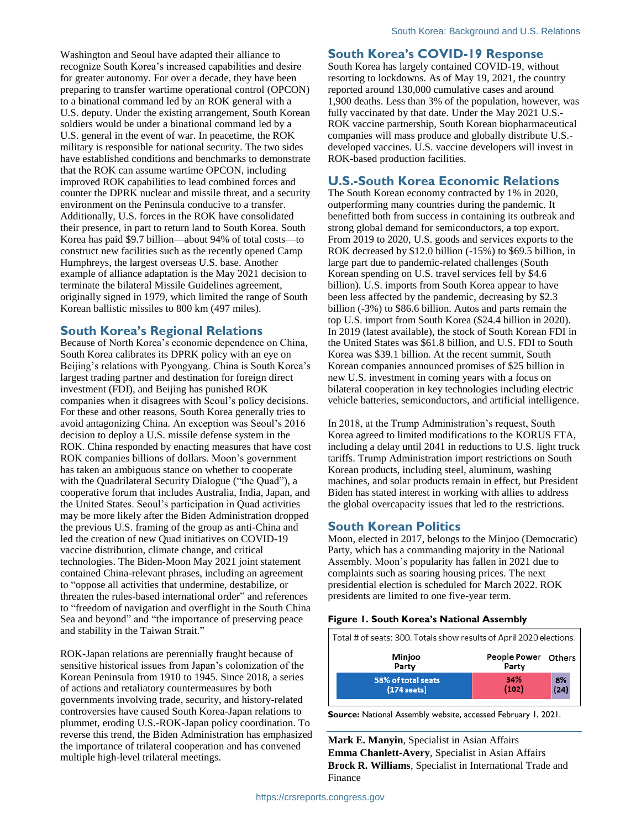Washington and Seoul have adapted their alliance to recognize South Korea's increased capabilities and desire for greater autonomy. For over a decade, they have been preparing to transfer wartime operational control (OPCON) to a binational command led by an ROK general with a U.S. deputy. Under the existing arrangement, South Korean soldiers would be under a binational command led by a U.S. general in the event of war. In peacetime, the ROK military is responsible for national security. The two sides have established conditions and benchmarks to demonstrate that the ROK can assume wartime OPCON, including improved ROK capabilities to lead combined forces and counter the DPRK nuclear and missile threat, and a security environment on the Peninsula conducive to a transfer. Additionally, U.S. forces in the ROK have consolidated their presence, in part to return land to South Korea. South Korea has paid \$9.7 billion—about 94% of total costs—to construct new facilities such as the recently opened Camp Humphreys, the largest overseas U.S. base. Another example of alliance adaptation is the May 2021 decision to terminate the bilateral Missile Guidelines agreement, originally signed in 1979, which limited the range of South Korean ballistic missiles to 800 km (497 miles).

#### **South Korea's Regional Relations**

Because of North Korea's economic dependence on China, South Korea calibrates its DPRK policy with an eye on Beijing's relations with Pyongyang. China is South Korea's largest trading partner and destination for foreign direct investment (FDI), and Beijing has punished ROK companies when it disagrees with Seoul's policy decisions. For these and other reasons, South Korea generally tries to avoid antagonizing China. An exception was Seoul's 2016 decision to deploy a U.S. missile defense system in the ROK. China responded by enacting measures that have cost ROK companies billions of dollars. Moon's government has taken an ambiguous stance on whether to cooperate with the Quadrilateral Security Dialogue ("the Quad"), a cooperative forum that includes Australia, India, Japan, and the United States. Seoul's participation in Quad activities may be more likely after the Biden Administration dropped the previous U.S. framing of the group as anti-China and led the creation of new Quad initiatives on COVID-19 vaccine distribution, climate change, and critical technologies. The Biden-Moon May 2021 joint statement contained China-relevant phrases, including an agreement to "oppose all activities that undermine, destabilize, or threaten the rules-based international order" and references to "freedom of navigation and overflight in the South China Sea and beyond" and "the importance of preserving peace and stability in the Taiwan Strait."

ROK-Japan relations are perennially fraught because of sensitive historical issues from Japan's colonization of the Korean Peninsula from 1910 to 1945. Since 2018, a series of actions and retaliatory countermeasures by both governments involving trade, security, and history-related controversies have caused South Korea-Japan relations to plummet, eroding U.S.-ROK-Japan policy coordination. To reverse this trend, the Biden Administration has emphasized the importance of trilateral cooperation and has convened multiple high-level trilateral meetings.

#### **South Korea's COVID-19 Response**

South Korea has largely contained COVID-19, without resorting to lockdowns. As of May 19, 2021, the country reported around 130,000 cumulative cases and around 1,900 deaths. Less than 3% of the population, however, was fully vaccinated by that date. Under the May 2021 U.S.- ROK vaccine partnership, South Korean biopharmaceutical companies will mass produce and globally distribute U.S. developed vaccines. U.S. vaccine developers will invest in ROK-based production facilities.

## **U.S.-South Korea Economic Relations**

The South Korean economy contracted by 1% in 2020, outperforming many countries during the pandemic. It benefitted both from success in containing its outbreak and strong global demand for semiconductors, a top export. From 2019 to 2020, U.S. goods and services exports to the ROK decreased by \$12.0 billion (-15%) to \$69.5 billion, in large part due to pandemic-related challenges (South Korean spending on U.S. travel services fell by \$4.6 billion). U.S. imports from South Korea appear to have been less affected by the pandemic, decreasing by \$2.3 billion (-3%) to \$86.6 billion. Autos and parts remain the top U.S. import from South Korea (\$24.4 billion in 2020). In 2019 (latest available), the stock of South Korean FDI in the United States was \$61.8 billion, and U.S. FDI to South Korea was \$39.1 billion. At the recent summit, South Korean companies announced promises of \$25 billion in new U.S. investment in coming years with a focus on bilateral cooperation in key technologies including electric vehicle batteries, semiconductors, and artificial intelligence.

In 2018, at the Trump Administration's request, South Korea agreed to limited modifications to the KORUS FTA, including a delay until 2041 in reductions to U.S. light truck tariffs. Trump Administration import restrictions on South Korean products, including steel, aluminum, washing machines, and solar products remain in effect, but President Biden has stated interest in working with allies to address the global overcapacity issues that led to the restrictions.

#### **South Korean Politics**

Moon, elected in 2017, belongs to the Minjoo (Democratic) Party, which has a commanding majority in the National Assembly. Moon's popularity has fallen in 2021 due to complaints such as soaring housing prices. The next presidential election is scheduled for March 2022. ROK presidents are limited to one five-year term.

#### **Figure 1. South Korea's National Assembly**

| Total # of seats: 300. Totals show results of April 2020 elections. |                              |    |
|---------------------------------------------------------------------|------------------------------|----|
| Minjoo<br>Party                                                     | People Power Others<br>Party |    |
| 58% of total seats<br>$(174$ seats)                                 | 34%<br>(102)                 | 8% |

**Source:** National Assembly website, accessed February 1, 2021.

**Mark E. Manyin**, Specialist in Asian Affairs **Emma Chanlett-Avery**, Specialist in Asian Affairs **Brock R. Williams**, Specialist in International Trade and Finance